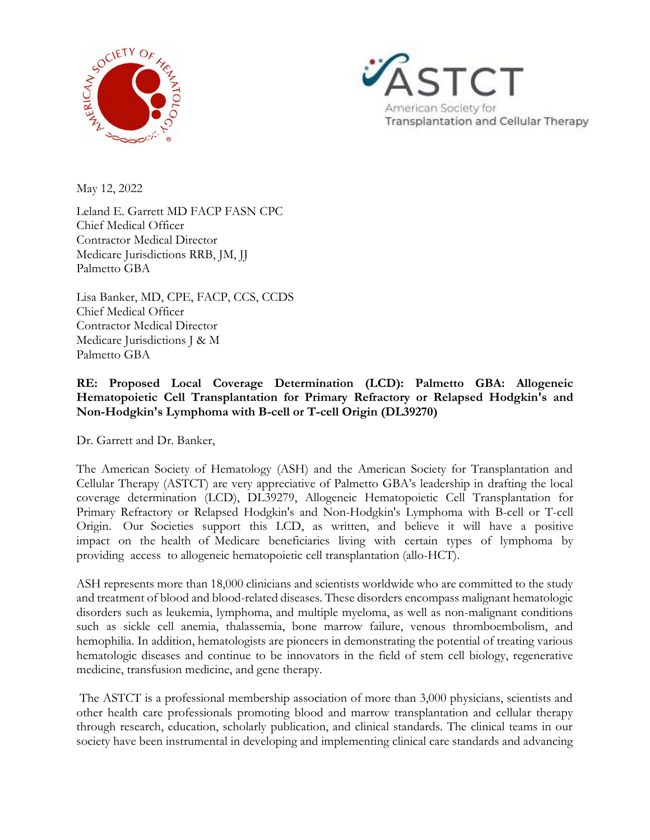



May 12, 2022

Leland E. Garrett MD FACP FASN CPC Chief Medical Officer Contractor Medical Director Medicare Jurisdictions RRB, JM, JJ Palmetto GBA

Lisa Banker, MD, CPE, FACP, CCS, CCDS Chief Medical Officer Contractor Medical Director Medicare Jurisdictions J & M Palmetto GBA

## **RE: Proposed Local Coverage Determination (LCD): Palmetto GBA: Allogeneic Hematopoietic Cell Transplantation for Primary Refractory or Relapsed Hodgkin's and Non-Hodgkin's Lymphoma with B-cell or T-cell Origin (DL39270)**

Dr. Garrett and Dr. Banker,

The American Society of Hematology (ASH) and the American Society for Transplantation and Cellular Therapy (ASTCT) are very appreciative of Palmetto GBA's leadership in drafting the local coverage determination (LCD), DL39279, Allogeneic Hematopoietic Cell Transplantation for Primary Refractory or Relapsed Hodgkin's and Non-Hodgkin's Lymphoma with B-cell or T-cell Origin. Our Societies support this LCD, as written, and believe it will have a positive impact on the health of Medicare beneficiaries living with certain types of lymphoma by providing access to allogeneic hematopoietic cell transplantation (allo-HCT).

ASH represents more than 18,000 clinicians and scientists worldwide who are committed to the study and treatment of blood and blood-related diseases. These disorders encompass malignant hematologic disorders such as leukemia, lymphoma, and multiple myeloma, as well as non-malignant conditions such as sickle cell anemia, thalassemia, bone marrow failure, venous thromboembolism, and hemophilia. In addition, hematologists are pioneers in demonstrating the potential of treating various hematologic diseases and continue to be innovators in the field of stem cell biology, regenerative medicine, transfusion medicine, and gene therapy.

 The ASTCT is a professional membership association of more than 3,000 physicians, scientists and other health care professionals promoting blood and marrow transplantation and cellular therapy through research, education, scholarly publication, and clinical standards. The clinical teams in our society have been instrumental in developing and implementing clinical care standards and advancing